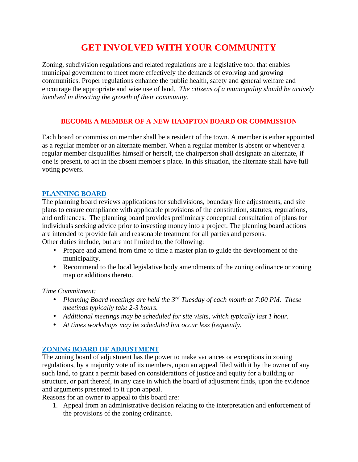# **GET INVOLVED WITH YOUR COMMUNITY**

Zoning, subdivision regulations and related regulations are a legislative tool that enables municipal government to meet more effectively the demands of evolving and growing communities. Proper regulations enhance the public health, safety and general welfare and encourage the appropriate and wise use of land. *The citizens of a municipality should be actively involved in directing the growth of their community.*

# **BECOME A MEMBER OF A NEW HAMPTON BOARD OR COMMISSION**

Each board or commission member shall be a resident of the town. A member is either appointed as a regular member or an alternate member. When a regular member is absent or whenever a regular member disqualifies himself or herself, the chairperson shall designate an alternate, if one is present, to act in the absent member's place. In this situation, the alternate shall have full voting powers.

## **PLANNING BOARD**

The planning board reviews applications for subdivisions, boundary line adjustments, and site plans to ensure compliance with applicable provisions of the constitution, statutes, regulations, and ordinances. The planning board provides preliminary conceptual consultation of plans for individuals seeking advice prior to investing money into a project. The planning board actions are intended to provide fair and reasonable treatment for all parties and persons. Other duties include, but are not limited to, the following:

- Prepare and amend from time to time a master plan to guide the development of the municipality.
- Recommend to the local legislative body amendments of the zoning ordinance or zoning map or additions thereto.

*Time Commitment:*

- *Planning Board meetings are held the 3rd Tuesday of each month at 7:00 PM. These meetings typically take 2-3 hours.*
- *Additional meetings may be scheduled for site visits, which typically last 1 hour.*
- *At times workshops may be scheduled but occur less frequently.*

# **ZONING BOARD OF ADJUSTMENT**

The zoning board of adjustment has the power to make variances or exceptions in zoning regulations, by a majority vote of its members, upon an appeal filed with it by the owner of any such land, to grant a permit based on considerations of justice and equity for a building or structure, or part thereof, in any case in which the board of adjustment finds, upon the evidence and arguments presented to it upon appeal.

Reasons for an owner to appeal to this board are:

1. Appeal from an administrative decision relating to the interpretation and enforcement of the provisions of the zoning ordinance.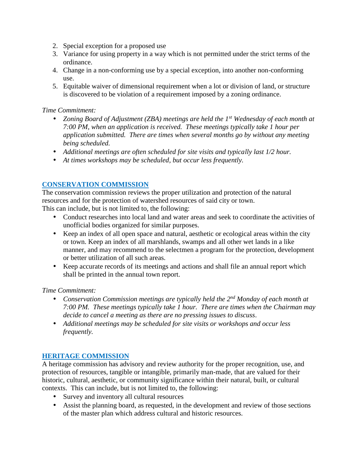- 2. Special exception for a proposed use
- 3. Variance for using property in a way which is not permitted under the strict terms of the ordinance.
- 4. Change in a non-conforming use by a special exception, into another non-conforming use.
- 5. Equitable waiver of dimensional requirement when a lot or division of land, or structure is discovered to be violation of a requirement imposed by a zoning ordinance.

*Time Commitment:*

- *Zoning Board of Adjustment (ZBA) meetings are held the 1st Wednesday of each month at 7:00 PM, when an application is received. These meetings typically take 1 hour per application submitted. There are times when several months go by without any meeting being scheduled.*
- *Additional meetings are often scheduled for site visits and typically last 1/2 hour.*
- *At times workshops may be scheduled, but occur less frequently.*

#### **CONSERVATION COMMISSION**

The conservation commission reviews the proper utilization and protection of the natural resources and for the protection of watershed resources of said city or town. This can include, but is not limited to, the following:

- Conduct researches into local land and water areas and seek to coordinate the activities of unofficial bodies organized for similar purposes.
- Keep an index of all open space and natural, aesthetic or ecological areas within the city or town. Keep an index of all marshlands, swamps and all other wet lands in a like manner, and may recommend to the selectmen a program for the protection, development or better utilization of all such areas.
- Keep accurate records of its meetings and actions and shall file an annual report which shall be printed in the annual town report.

*Time Commitment:*

- *Conservation Commission meetings are typically held the 2 nd Monday of each month at 7:00 PM. These meetings typically take 1 hour. There are times when the Chairman may decide to cancel a meeting as there are no pressing issues to discuss.*
- *Additional meetings may be scheduled for site visits or workshops and occur less frequently.*

#### **HERITAGE COMMISSION**

A heritage commission has advisory and review authority for the proper recognition, use, and protection of resources, tangible or intangible, primarily man-made, that are valued for their historic, cultural, aesthetic, or community significance within their natural, built, or cultural contexts. This can include, but is not limited to, the following:

- Survey and inventory all cultural resources
- Assist the planning board, as requested, in the development and review of those sections of the master plan which address cultural and historic resources.